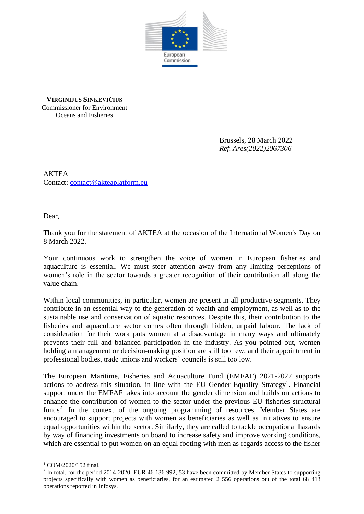

**VIRGINIJUS SINKEVIČIUS** Commissioner for Environment Oceans and Fisheries

> Brussels, 28 March 2022 *Ref. Ares(2022)2067306*

AKTEA Contact: [contact@akteaplatform.eu](mailto:contact@akteaplatform.eu)

Dear,

Thank you for the statement of AKTEA at the occasion of the International Women's Day on 8 March 2022.

Your continuous work to strengthen the voice of women in European fisheries and aquaculture is essential. We must steer attention away from any limiting perceptions of women's role in the sector towards a greater recognition of their contribution all along the value chain.

Within local communities, in particular, women are present in all productive segments. They contribute in an essential way to the generation of wealth and employment, as well as to the sustainable use and conservation of aquatic resources. Despite this, their contribution to the fisheries and aquaculture sector comes often through hidden, unpaid labour. The lack of consideration for their work puts women at a disadvantage in many ways and ultimately prevents their full and balanced participation in the industry. As you pointed out, women holding a management or decision-making position are still too few, and their appointment in professional bodies, trade unions and workers' councils is still too low.

The European Maritime, Fisheries and Aquaculture Fund (EMFAF) 2021-2027 supports actions to address this situation, in line with the EU Gender Equality Strategy<sup>1</sup>. Financial support under the EMFAF takes into account the gender dimension and builds on actions to enhance the contribution of women to the sector under the previous EU fisheries structural funds<sup>2</sup>. In the context of the ongoing programming of resources, Member States are encouraged to support projects with women as beneficiaries as well as initiatives to ensure equal opportunities within the sector. Similarly, they are called to tackle occupational hazards by way of financing investments on board to increase safety and improve working conditions, which are essential to put women on an equal footing with men as regards access to the fisher

<sup>1</sup> COM/2020/152 final.

<sup>&</sup>lt;sup>2</sup> In total, for the period 2014-2020, EUR 46 136 992, 53 have been committed by Member States to supporting projects specifically with women as beneficiaries, for an estimated 2 556 operations out of the total 68 413 operations reported in Infosys.